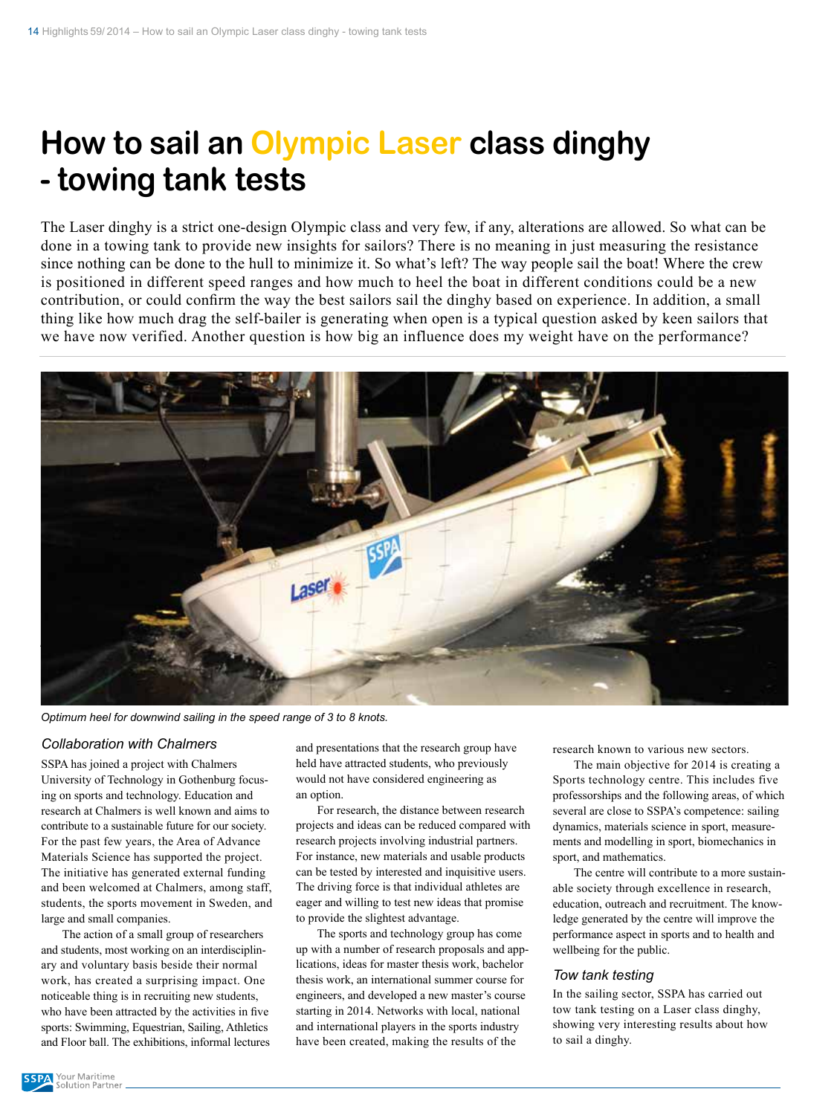# **How to sail an Olympic Laser class dinghy - towing tank tests**

The Laser dinghy is a strict one-design Olympic class and very few, if any, alterations are allowed. So what can be done in a towing tank to provide new insights for sailors? There is no meaning in just measuring the resistance since nothing can be done to the hull to minimize it. So what's left? The way people sail the boat! Where the crew is positioned in different speed ranges and how much to heel the boat in different conditions could be a new contribution, or could confirm the way the best sailors sail the dinghy based on experience. In addition, a small thing like how much drag the self-bailer is generating when open is a typical question asked by keen sailors that we have now verified. Another question is how big an influence does my weight have on the performance?



*Optimum heel for downwind sailing in the speed range of 3 to 8 knots.*

## *Collaboration with Chalmers*

SSPA has joined a project with Chalmers University of Technology in Gothenburg focusing on sports and technology. Education and research at Chalmers is well known and aims to contribute to a sustainable future for our society. For the past few years, the Area of Advance Materials Science has supported the project. The initiative has generated external funding and been welcomed at Chalmers, among staff, students, the sports movement in Sweden, and large and small companies.

The action of a small group of researchers and students, most working on an interdisciplinary and voluntary basis beside their normal work, has created a surprising impact. One noticeable thing is in recruiting new students, who have been attracted by the activities in five sports: Swimming, Equestrian, Sailing, Athletics and Floor ball. The exhibitions, informal lectures and presentations that the research group have held have attracted students, who previously would not have considered engineering as an option.

For research, the distance between research projects and ideas can be reduced compared with research projects involving industrial partners. For instance, new materials and usable products can be tested by interested and inquisitive users. The driving force is that individual athletes are eager and willing to test new ideas that promise to provide the slightest advantage.

The sports and technology group has come up with a number of research proposals and applications, ideas for master thesis work, bachelor thesis work, an international summer course for engineers, and developed a new master's course starting in 2014. Networks with local, national and international players in the sports industry have been created, making the results of the

research known to various new sectors.

The main objective for 2014 is creating a Sports technology centre. This includes five professorships and the following areas, of which several are close to SSPA's competence: sailing dynamics, materials science in sport, measurements and modelling in sport, biomechanics in sport, and mathematics.

The centre will contribute to a more sustainable society through excellence in research, education, outreach and recruitment. The knowledge generated by the centre will improve the performance aspect in sports and to health and wellbeing for the public.

#### *Tow tank testing*

In the sailing sector, SSPA has carried out tow tank testing on a Laser class dinghy, showing very interesting results about how to sail a dinghy.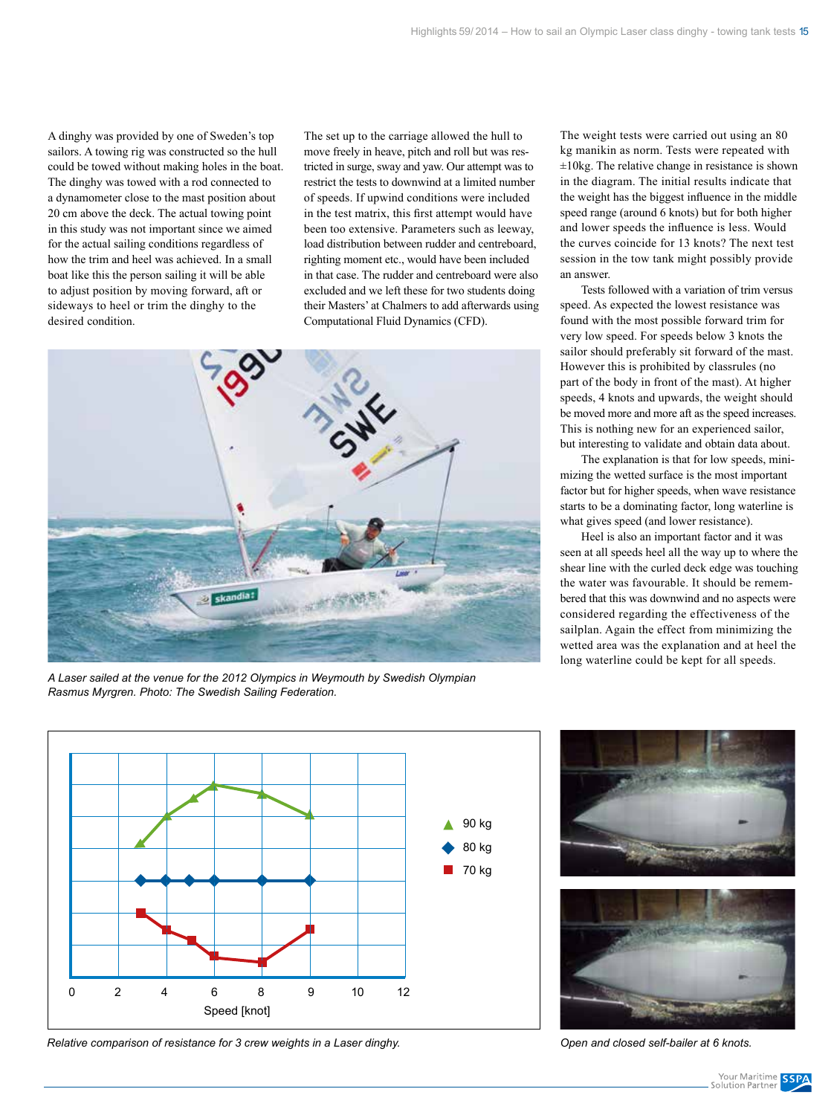A dinghy was provided by one of Sweden's top sailors. A towing rig was constructed so the hull could be towed without making holes in the boat. The dinghy was towed with a rod connected to a dynamometer close to the mast position about 20 cm above the deck. The actual towing point in this study was not important since we aimed for the actual sailing conditions regardless of how the trim and heel was achieved. In a small boat like this the person sailing it will be able to adjust position by moving forward, aft or sideways to heel or trim the dinghy to the desired condition.

The set up to the carriage allowed the hull to move freely in heave, pitch and roll but was restricted in surge, sway and yaw. Our attempt was to restrict the tests to downwind at a limited number of speeds. If upwind conditions were included in the test matrix, this first attempt would have been too extensive. Parameters such as leeway, load distribution between rudder and centreboard, righting moment etc., would have been included in that case. The rudder and centreboard were also excluded and we left these for two students doing their Masters' at Chalmers to add afterwards using Computational Fluid Dynamics (CFD).



*A Laser sailed at the venue for the 2012 Olympics in Weymouth by Swedish Olympian Rasmus Myrgren. Photo: The Swedish Sailing Federation.*

The weight tests were carried out using an 80 kg manikin as norm. Tests were repeated with  $\pm 10$ kg. The relative change in resistance is shown in the diagram. The initial results indicate that the weight has the biggest influence in the middle speed range (around 6 knots) but for both higher and lower speeds the influence is less. Would the curves coincide for 13 knots? The next test session in the tow tank might possibly provide an answer.

Tests followed with a variation of trim versus speed. As expected the lowest resistance was found with the most possible forward trim for very low speed. For speeds below 3 knots the sailor should preferably sit forward of the mast. However this is prohibited by classrules (no part of the body in front of the mast). At higher speeds, 4 knots and upwards, the weight should be moved more and more aft as the speed increases. This is nothing new for an experienced sailor, but interesting to validate and obtain data about.

The explanation is that for low speeds, minimizing the wetted surface is the most important factor but for higher speeds, when wave resistance starts to be a dominating factor, long waterline is what gives speed (and lower resistance).

Heel is also an important factor and it was seen at all speeds heel all the way up to where the shear line with the curled deck edge was touching the water was favourable. It should be remembered that this was downwind and no aspects were considered regarding the effectiveness of the sailplan. Again the effect from minimizing the wetted area was the explanation and at heel the long waterline could be kept for all speeds.



*Relative comparison of resistance for 3 crew weights in a Laser dinghy. Open and closed self-bailer at 6 knots.*